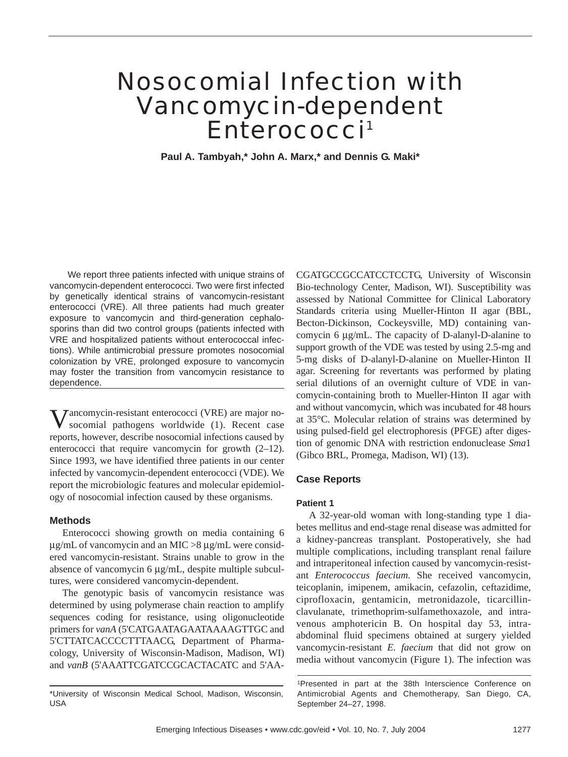# Nosocomial Infection with Vancomycin-dependent Enterococci<sup>1</sup>

**Paul A. Tambyah,\* John A. Marx,\* and Dennis G. Maki\*** 

We report three patients infected with unique strains of vancomycin-dependent enterococci. Two were first infected by genetically identical strains of vancomycin-resistant enterococci (VRE). All three patients had much greater exposure to vancomycin and third-generation cephalosporins than did two control groups (patients infected with VRE and hospitalized patients without enterococcal infections). While antimicrobial pressure promotes nosocomial colonization by VRE, prolonged exposure to vancomycin may foster the transition from vancomycin resistance to dependence.

**Jancomycin-resistant enterococci (VRE) are major no**socomial pathogens worldwide (1). Recent case reports, however, describe nosocomial infections caused by enterococci that require vancomycin for growth (2–12). Since 1993, we have identified three patients in our center infected by vancomycin-dependent enterococci (VDE). We report the microbiologic features and molecular epidemiology of nosocomial infection caused by these organisms.

## **Methods**

Enterococci showing growth on media containing 6  $\mu$ g/mL of vancomycin and an MIC >8  $\mu$ g/mL were considered vancomycin-resistant. Strains unable to grow in the absence of vancomycin 6 µg/mL, despite multiple subcultures, were considered vancomycin-dependent.

The genotypic basis of vancomycin resistance was determined by using polymerase chain reaction to amplify sequences coding for resistance, using oligonucleotide primers for *vanA* (5'CATGAATAGAATAAAAGTTGC and 5'CTTATCACCCCTTTAACG, Department of Pharmacology, University of Wisconsin-Madison, Madison, WI) and *vanB* (5'AAATTCGATCCGCACTACATC and 5'AA-

\*University of Wisconsin Medical School, Madison, Wisconsin, USA

CGATGCCGCCATCCTCCTG, University of Wisconsin Bio-technology Center, Madison, WI). Susceptibility was assessed by National Committee for Clinical Laboratory Standards criteria using Mueller-Hinton II agar (BBL, Becton-Dickinson, Cockeysville, MD) containing vancomycin 6 µg/mL. The capacity of D-alanyl-D-alanine to support growth of the VDE was tested by using 2.5-mg and 5-mg disks of D-alanyl-D-alanine on Mueller-Hinton II agar. Screening for revertants was performed by plating serial dilutions of an overnight culture of VDE in vancomycin-containing broth to Mueller-Hinton II agar with and without vancomycin, which was incubated for 48 hours at 35°C. Molecular relation of strains was determined by using pulsed-field gel electrophoresis (PFGE) after digestion of genomic DNA with restriction endonuclease *Sma*1 (Gibco BRL, Promega, Madison, WI) (13).

## **Case Reports**

#### **Patient 1**

A 32-year-old woman with long-standing type 1 diabetes mellitus and end-stage renal disease was admitted for a kidney-pancreas transplant. Postoperatively, she had multiple complications, including transplant renal failure and intraperitoneal infection caused by vancomycin-resistant *Enterococcus faecium.* She received vancomycin, teicoplanin, imipenem, amikacin, cefazolin, ceftazidime, ciprofloxacin, gentamicin, metronidazole, ticarcillinclavulanate, trimethoprim-sulfamethoxazole, and intravenous amphotericin B. On hospital day 53, intraabdominal fluid specimens obtained at surgery yielded vancomycin-resistant *E. faecium* that did not grow on media without vancomycin (Figure 1). The infection was

1Presented in part at the 38th Interscience Conference on Antimicrobial Agents and Chemotherapy, San Diego, CA, September 24–27, 1998.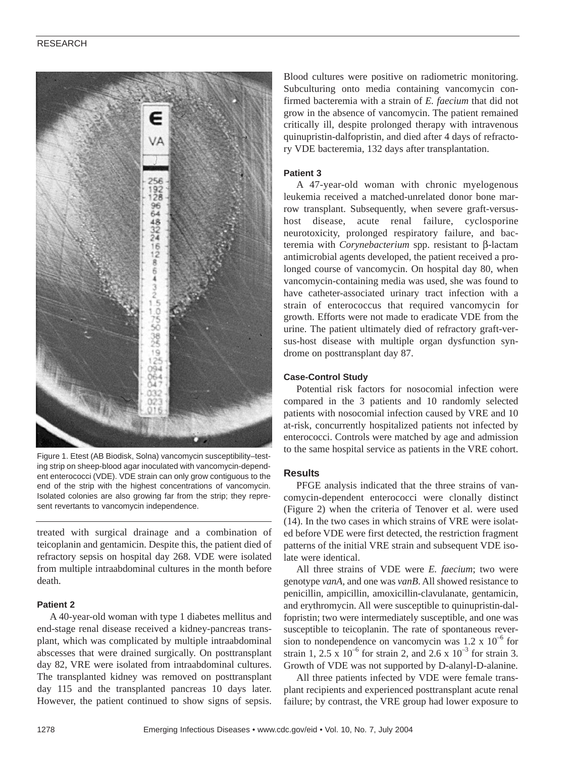## RESEARCH



Figure 1. Etest (AB Biodisk, Solna) vancomycin susceptibility–testing strip on sheep-blood agar inoculated with vancomycin-dependent enterococci (VDE). VDE strain can only grow contiguous to the end of the strip with the highest concentrations of vancomycin. Isolated colonies are also growing far from the strip; they represent revertants to vancomycin independence.

treated with surgical drainage and a combination of teicoplanin and gentamicin. Despite this, the patient died of refractory sepsis on hospital day 268. VDE were isolated from multiple intraabdominal cultures in the month before death.

#### **Patient 2**

A 40-year-old woman with type 1 diabetes mellitus and end-stage renal disease received a kidney-pancreas transplant, which was complicated by multiple intraabdominal abscesses that were drained surgically. On posttransplant day 82, VRE were isolated from intraabdominal cultures. The transplanted kidney was removed on posttransplant day 115 and the transplanted pancreas 10 days later. However, the patient continued to show signs of sepsis.

Blood cultures were positive on radiometric monitoring. Subculturing onto media containing vancomycin confirmed bacteremia with a strain of *E. faecium* that did not grow in the absence of vancomycin. The patient remained critically ill, despite prolonged therapy with intravenous quinupristin-dalfopristin, and died after 4 days of refractory VDE bacteremia, 132 days after transplantation.

## **Patient 3**

A 47-year-old woman with chronic myelogenous leukemia received a matched-unrelated donor bone marrow transplant. Subsequently, when severe graft-versushost disease, acute renal failure, cyclosporine neurotoxicity, prolonged respiratory failure, and bacteremia with *Corynebacterium* spp. resistant to β-lactam antimicrobial agents developed, the patient received a prolonged course of vancomycin. On hospital day 80, when vancomycin-containing media was used, she was found to have catheter-associated urinary tract infection with a strain of enterococcus that required vancomycin for growth. Efforts were not made to eradicate VDE from the urine. The patient ultimately died of refractory graft-versus-host disease with multiple organ dysfunction syndrome on posttransplant day 87.

#### **Case-Control Study**

Potential risk factors for nosocomial infection were compared in the 3 patients and 10 randomly selected patients with nosocomial infection caused by VRE and 10 at-risk, concurrently hospitalized patients not infected by enterococci. Controls were matched by age and admission to the same hospital service as patients in the VRE cohort.

## **Results**

PFGE analysis indicated that the three strains of vancomycin-dependent enterococci were clonally distinct (Figure 2) when the criteria of Tenover et al. were used (14). In the two cases in which strains of VRE were isolated before VDE were first detected, the restriction fragment patterns of the initial VRE strain and subsequent VDE isolate were identical.

All three strains of VDE were *E. faecium*; two were genotype *vanA,* and one was *vanB*. All showed resistance to penicillin, ampicillin, amoxicillin-clavulanate, gentamicin, and erythromycin. All were susceptible to quinupristin-dalfopristin; two were intermediately susceptible, and one was susceptible to teicoplanin. The rate of spontaneous reversion to nondependence on vancomycin was  $1.2 \times 10^{-6}$  for strain 1, 2.5 x  $10^{-6}$  for strain 2, and 2.6 x  $10^{-3}$  for strain 3. Growth of VDE was not supported by D-alanyl-D-alanine.

All three patients infected by VDE were female transplant recipients and experienced posttransplant acute renal failure; by contrast, the VRE group had lower exposure to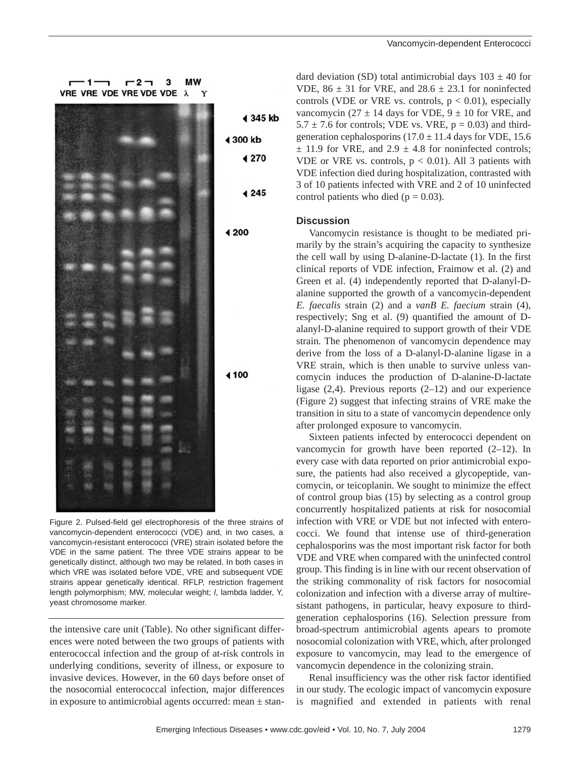$-1$  $r2 \mathbf{a}$ **MW** VRE VRE VDE VRE VDE VDE A Y 4 345 kb 4 300 kb ◀ 270 4 2 4 5 ◀ 200 ◀ 100

Figure 2. Pulsed-field gel electrophoresis of the three strains of vancomycin-dependent enterococci (VDE) and, in two cases, a vancomycin-resistant enterococci (VRE) strain isolated before the VDE in the same patient. The three VDE strains appear to be genetically distinct, although two may be related. In both cases in which VRE was isolated before VDE, VRE and subsequent VDE strains appear genetically identical. RFLP, restriction fragement length polymorphism; MW, molecular weight; *l*, lambda ladder, Y, yeast chromosome marker.

the intensive care unit (Table). No other significant differences were noted between the two groups of patients with enterococcal infection and the group of at-risk controls in underlying conditions, severity of illness, or exposure to invasive devices. However, in the 60 days before onset of the nosocomial enterococcal infection, major differences in exposure to antimicrobial agents occurred: mean  $\pm$  stan-

dard deviation (SD) total antimicrobial days  $103 \pm 40$  for VDE,  $86 \pm 31$  for VRE, and  $28.6 \pm 23.1$  for noninfected controls (VDE or VRE vs. controls,  $p < 0.01$ ), especially vancomycin (27  $\pm$  14 days for VDE, 9  $\pm$  10 for VRE, and  $5.7 \pm 7.6$  for controls; VDE vs. VRE,  $p = 0.03$ ) and thirdgeneration cephalosporins  $(17.0 \pm 11.4$  days for VDE, 15.6  $\pm$  11.9 for VRE, and 2.9  $\pm$  4.8 for noninfected controls; VDE or VRE vs. controls,  $p < 0.01$ ). All 3 patients with VDE infection died during hospitalization, contrasted with 3 of 10 patients infected with VRE and 2 of 10 uninfected control patients who died ( $p = 0.03$ ).

## **Discussion**

Vancomycin resistance is thought to be mediated primarily by the strain's acquiring the capacity to synthesize the cell wall by using D-alanine-D-lactate (1). In the first clinical reports of VDE infection, Fraimow et al. (2) and Green et al. (4) independently reported that D-alanyl-Dalanine supported the growth of a vancomycin-dependent *E. faecalis* strain (2) and a *vanB E. faecium* strain (4), respectively; Sng et al. (9) quantified the amount of Dalanyl-D-alanine required to support growth of their VDE strain. The phenomenon of vancomycin dependence may derive from the loss of a D-alanyl-D-alanine ligase in a VRE strain, which is then unable to survive unless vancomycin induces the production of D-alanine-D-lactate ligase (2,4). Previous reports (2–12) and our experience (Figure 2) suggest that infecting strains of VRE make the transition in situ to a state of vancomycin dependence only after prolonged exposure to vancomycin.

Sixteen patients infected by enterococci dependent on vancomycin for growth have been reported (2–12). In every case with data reported on prior antimicrobial exposure, the patients had also received a glycopeptide, vancomycin, or teicoplanin. We sought to minimize the effect of control group bias (15) by selecting as a control group concurrently hospitalized patients at risk for nosocomial infection with VRE or VDE but not infected with enterococci. We found that intense use of third-generation cephalosporins was the most important risk factor for both VDE and VRE when compared with the uninfected control group. This finding is in line with our recent observation of the striking commonality of risk factors for nosocomial colonization and infection with a diverse array of multiresistant pathogens, in particular, heavy exposure to thirdgeneration cephalosporins (16). Selection pressure from broad-spectrum antimicrobial agents apears to promote nosocomial colonization with VRE, which, after prolonged exposure to vancomycin, may lead to the emergence of vancomycin dependence in the colonizing strain.

Renal insufficiency was the other risk factor identified in our study. The ecologic impact of vancomycin exposure is magnified and extended in patients with renal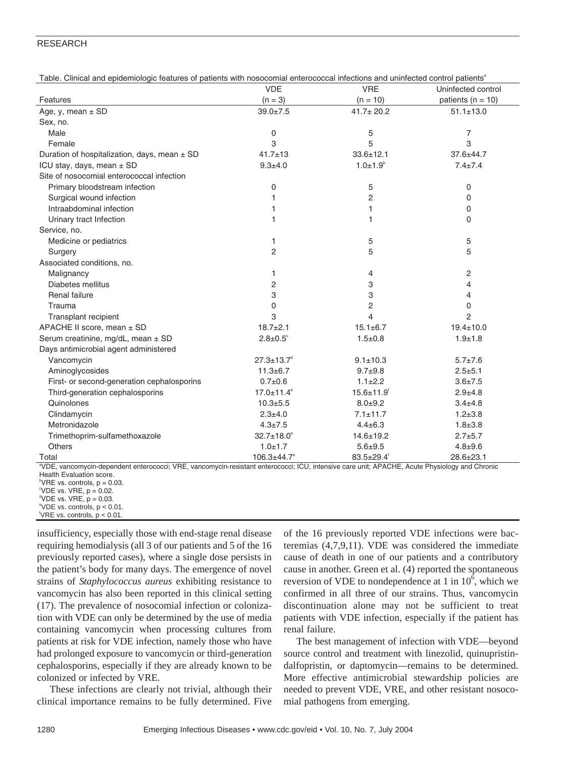#### RESEARCH

| Table. Clinical and epidemiologic features of patients with nosocomial enterococcal infections and uninfected control patients'               | <b>VDE</b>                   | <b>VRE</b>                   | Uninfected control    |
|-----------------------------------------------------------------------------------------------------------------------------------------------|------------------------------|------------------------------|-----------------------|
|                                                                                                                                               |                              |                              |                       |
| Features                                                                                                                                      | $(n = 3)$                    | $(n = 10)$                   | patients ( $n = 10$ ) |
| Age, y, mean $\pm$ SD                                                                                                                         | $39.0 \pm 7.5$               | $41.7 \pm 20.2$              | $51.1 \pm 13.0$       |
| Sex, no.                                                                                                                                      |                              |                              |                       |
| Male                                                                                                                                          | 0                            | 5                            | $\overline{7}$        |
| Female                                                                                                                                        | 3                            | 5                            | 3                     |
| Duration of hospitalization, days, mean $\pm$ SD                                                                                              | $41.7 \pm 13$                | $33.6 \pm 12.1$              | 37.6±44.7             |
| ICU stay, days, mean $\pm$ SD                                                                                                                 | $9.3 + 4.0$                  | $1.0 \pm 1.9^{\circ}$        | $7.4 \pm 7.4$         |
| Site of nosocomial enterococcal infection                                                                                                     |                              |                              |                       |
| Primary bloodstream infection                                                                                                                 | 0                            | 5                            | $\mathbf 0$           |
| Surgical wound infection                                                                                                                      | 1                            | $\overline{c}$               | $\mathbf 0$           |
| Intraabdominal infection                                                                                                                      | 1                            | 1                            | $\mathbf 0$           |
| Urinary tract Infection                                                                                                                       | 1                            | 1                            | $\Omega$              |
| Service, no.                                                                                                                                  |                              |                              |                       |
| Medicine or pediatrics                                                                                                                        | 1                            | 5                            | 5                     |
| Surgery                                                                                                                                       | $\overline{2}$               | 5                            | 5                     |
| Associated conditions, no.                                                                                                                    |                              |                              |                       |
| Malignancy                                                                                                                                    | 1                            | 4                            | 2                     |
| Diabetes mellitus                                                                                                                             | 2                            | 3                            | $\overline{4}$        |
| Renal failure                                                                                                                                 | 3                            | 3                            | 4                     |
| Trauma                                                                                                                                        | 0                            | $\overline{2}$               | $\Omega$              |
| Transplant recipient                                                                                                                          | 3                            | $\overline{\mathcal{L}}$     | $\overline{2}$        |
| APACHE II score, mean ± SD                                                                                                                    | $18.7 \pm 2.1$               | $15.1 \pm 6.7$               | $19.4 \pm 10.0$       |
| Serum creatinine, mg/dL, mean ± SD                                                                                                            | $2.8 \pm 0.5^{\circ}$        | $1.5 \pm 0.8$                | $1.9 + 1.8$           |
| Days antimicrobial agent administered                                                                                                         |                              |                              |                       |
| Vancomycin                                                                                                                                    | $27.3 \pm 13.7$ <sup>d</sup> | $9.1 \pm 10.3$               | $5.7 \pm 7.6$         |
| Aminoglycosides                                                                                                                               | $11.3 \pm 6.7$               | $9.7 + 9.8$                  | $2.5 + 5.1$           |
| First- or second-generation cephalosporins                                                                                                    | $0.7 + 0.6$                  | $1.1 \pm 2.2$                | $3.6 \pm 7.5$         |
| Third-generation cephalosporins                                                                                                               | $17.0 \pm 11.4^{\circ}$      | $15.6 \pm 11.9$ <sup>f</sup> | $2.9 + 4.8$           |
| Quinolones                                                                                                                                    | $10.3 + 5.5$                 | $8.0 + 9.2$                  | $3.4 \pm 4.8$         |
| Clindamycin                                                                                                                                   | $2.3 + 4.0$                  | $7.1 \pm 11.7$               | $1.2 + 3.8$           |
| Metronidazole                                                                                                                                 | $4.3 \pm 7.5$                | $4.4 \pm 6.3$                | $1.8 + 3.8$           |
| Trimethoprim-sulfamethoxazole                                                                                                                 | $32.7 \pm 18.0^{\circ}$      | $14.6 \pm 19.2$              | $2.7 + 5.7$           |
| <b>Others</b>                                                                                                                                 | $1.0 + 1.7$                  | $5.6 + 9.5$                  | $4.8 + 9.6$           |
| Total                                                                                                                                         | $106.3 \pm 44.7$ °           | $83.5 \pm 29.4$              | $28.6 \pm 23.1$       |
| "VDE, vancomycin-dependent enterococci; VRE, vancomycin-resistant enterococci; ICU, intensive care unit; APACHE, Acute Physiology and Chronic |                              |                              |                       |

Table. Clinical and epidemiologic features of patients with nosocomial enterococcal infections and uninfected control patients<sup>a</sup>

Health Evaluation score.

<sup>b</sup>VRE vs. controls,  $p = 0.03$ .

 $^{\circ}$ VDE vs. VRE,  $p = 0.02$ .

 $^{\circ}$ VDE vs. VRE, p = 0.03. e VDE vs. controls, p < 0.01.

f VRE vs. controls, p < 0.01.

insufficiency, especially those with end-stage renal disease requiring hemodialysis (all 3 of our patients and 5 of the 16 previously reported cases), where a single dose persists in the patient's body for many days. The emergence of novel strains of *Staphylococcus aureus* exhibiting resistance to vancomycin has also been reported in this clinical setting (17). The prevalence of nosocomial infection or colonization with VDE can only be determined by the use of media containing vancomycin when processing cultures from patients at risk for VDE infection, namely those who have had prolonged exposure to vancomycin or third-generation cephalosporins, especially if they are already known to be colonized or infected by VRE.

These infections are clearly not trivial, although their clinical importance remains to be fully determined. Five

of the 16 previously reported VDE infections were bacteremias (4,7,9,11). VDE was considered the immediate cause of death in one of our patients and a contributory cause in another. Green et al. (4) reported the spontaneous reversion of VDE to nondependence at 1 in  $10^6$ , which we confirmed in all three of our strains. Thus, vancomycin discontinuation alone may not be sufficient to treat patients with VDE infection, especially if the patient has renal failure.

The best management of infection with VDE—beyond source control and treatment with linezolid, quinupristindalfopristin, or daptomycin—remains to be determined. More effective antimicrobial stewardship policies are needed to prevent VDE, VRE, and other resistant nosocomial pathogens from emerging.